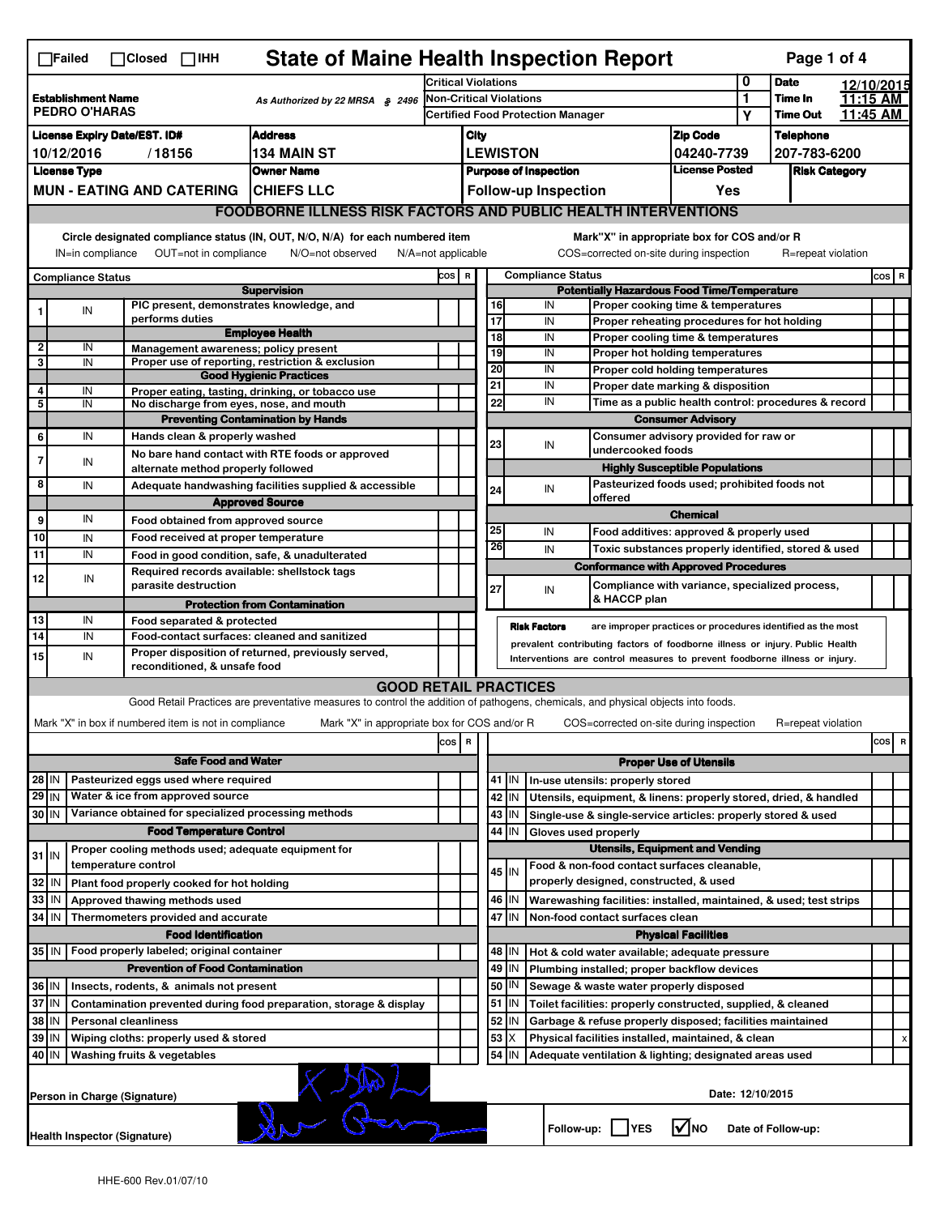| <b>State of Maine Health Inspection Report</b><br>Page 1 of 4<br>$\Box$ Failed<br>$\Box$ Closed $\Box$ IHH |                                                                                                                                                                           |                                                       |                                                                                                                                   |       |                                                       |                       |                 |                                                                                                                                                            |                                                                     |                  |                      |            |       |   |
|------------------------------------------------------------------------------------------------------------|---------------------------------------------------------------------------------------------------------------------------------------------------------------------------|-------------------------------------------------------|-----------------------------------------------------------------------------------------------------------------------------------|-------|-------------------------------------------------------|-----------------------|-----------------|------------------------------------------------------------------------------------------------------------------------------------------------------------|---------------------------------------------------------------------|------------------|----------------------|------------|-------|---|
|                                                                                                            |                                                                                                                                                                           |                                                       |                                                                                                                                   |       | <b>Critical Violations</b>                            |                       |                 |                                                                                                                                                            |                                                                     |                  | <b>Date</b>          | 12/10/2015 |       |   |
| <b>Establishment Name</b><br>As Authorized by 22 MRSA § 2496<br><b>PEDRO O'HARAS</b>                       |                                                                                                                                                                           |                                                       | Non-Critical Violations                                                                                                           |       |                                                       |                       |                 |                                                                                                                                                            | 1                                                                   | Time In          | 11:15 AM             |            |       |   |
|                                                                                                            |                                                                                                                                                                           |                                                       |                                                                                                                                   |       |                                                       |                       |                 | <b>Certified Food Protection Manager</b>                                                                                                                   |                                                                     | Υ                | <b>Time Out</b>      | 11:45 AM   |       |   |
|                                                                                                            | <b>Address</b><br><b>License Expiry Date/EST. ID#</b>                                                                                                                     |                                                       |                                                                                                                                   |       |                                                       | City                  |                 |                                                                                                                                                            | <b>Zip Code</b>                                                     |                  | <b>Telephone</b>     |            |       |   |
|                                                                                                            | 10/12/2016                                                                                                                                                                | /18156                                                | <b>134 MAIN ST</b>                                                                                                                |       | <b>LEWISTON</b><br>04240-7739                         |                       |                 |                                                                                                                                                            |                                                                     |                  | 207-783-6200         |            |       |   |
|                                                                                                            | <b>License Type</b>                                                                                                                                                       |                                                       | <b>Owner Name</b>                                                                                                                 |       | <b>License Posted</b><br><b>Purpose of Inspection</b> |                       |                 |                                                                                                                                                            |                                                                     |                  | <b>Risk Category</b> |            |       |   |
|                                                                                                            |                                                                                                                                                                           | <b>MUN - EATING AND CATERING</b>                      | <b>CHIEFS LLC</b>                                                                                                                 |       |                                                       |                       |                 | <b>Follow-up Inspection</b>                                                                                                                                | Yes                                                                 |                  |                      |            |       |   |
|                                                                                                            |                                                                                                                                                                           |                                                       | <b>FOODBORNE ILLNESS RISK FACTORS AND PUBLIC HEALTH INTERVENTIONS</b>                                                             |       |                                                       |                       |                 |                                                                                                                                                            |                                                                     |                  |                      |            |       |   |
|                                                                                                            | Circle designated compliance status (IN, OUT, N/O, N/A) for each numbered item<br>OUT=not in compliance<br>N/O=not observed<br>IN=in compliance<br>$N/A = not$ applicable |                                                       |                                                                                                                                   |       |                                                       |                       |                 | Mark"X" in appropriate box for COS and/or R<br>COS=corrected on-site during inspection                                                                     |                                                                     |                  | R=repeat violation   |            |       |   |
|                                                                                                            | <b>Compliance Status</b>                                                                                                                                                  |                                                       |                                                                                                                                   | cos   | $\mathbf R$                                           |                       |                 | <b>Compliance Status</b>                                                                                                                                   |                                                                     |                  |                      |            | COS R |   |
|                                                                                                            |                                                                                                                                                                           |                                                       | <b>Supervision</b>                                                                                                                |       |                                                       |                       |                 | <b>Potentially Hazardous Food Time/Temperature</b>                                                                                                         |                                                                     |                  |                      |            |       |   |
|                                                                                                            | IN                                                                                                                                                                        |                                                       | PIC present, demonstrates knowledge, and                                                                                          |       |                                                       | 16                    |                 | IN                                                                                                                                                         | Proper cooking time & temperatures                                  |                  |                      |            |       |   |
|                                                                                                            |                                                                                                                                                                           | performs duties                                       | <b>Employee Health</b>                                                                                                            |       |                                                       | 17                    |                 | IN                                                                                                                                                         | Proper reheating procedures for hot holding                         |                  |                      |            |       |   |
| $\overline{\mathbf{2}}$                                                                                    | IN                                                                                                                                                                        | Management awareness; policy present                  |                                                                                                                                   |       |                                                       | $\overline{18}$<br>19 |                 | IN                                                                                                                                                         | Proper cooling time & temperatures                                  |                  |                      |            |       |   |
| 3                                                                                                          | IN                                                                                                                                                                        |                                                       | Proper use of reporting, restriction & exclusion                                                                                  |       |                                                       | 20                    |                 | IN<br>IN                                                                                                                                                   | Proper hot holding temperatures<br>Proper cold holding temperatures |                  |                      |            |       |   |
|                                                                                                            |                                                                                                                                                                           |                                                       | <b>Good Hygienic Practices</b>                                                                                                    |       |                                                       | 21                    |                 | IN                                                                                                                                                         | Proper date marking & disposition                                   |                  |                      |            |       |   |
| 4<br>5                                                                                                     | IN<br>IN                                                                                                                                                                  |                                                       | Proper eating, tasting, drinking, or tobacco use<br>No discharge from eyes, nose, and mouth                                       |       |                                                       | 22                    |                 | IN                                                                                                                                                         | Time as a public health control: procedures & record                |                  |                      |            |       |   |
|                                                                                                            |                                                                                                                                                                           |                                                       | <b>Preventing Contamination by Hands</b>                                                                                          |       |                                                       |                       |                 |                                                                                                                                                            |                                                                     |                  |                      |            |       |   |
| 6                                                                                                          | IN                                                                                                                                                                        | Hands clean & properly washed                         |                                                                                                                                   |       |                                                       |                       |                 |                                                                                                                                                            | <b>Consumer Advisory</b><br>Consumer advisory provided for raw or   |                  |                      |            |       |   |
|                                                                                                            |                                                                                                                                                                           |                                                       | No bare hand contact with RTE foods or approved                                                                                   |       |                                                       | 23                    |                 | IN<br>undercooked foods                                                                                                                                    |                                                                     |                  |                      |            |       |   |
| $\overline{7}$                                                                                             | IN                                                                                                                                                                        | alternate method properly followed                    |                                                                                                                                   |       |                                                       |                       |                 |                                                                                                                                                            | <b>Highly Susceptible Populations</b>                               |                  |                      |            |       |   |
| 8                                                                                                          | IN                                                                                                                                                                        |                                                       | Adequate handwashing facilities supplied & accessible                                                                             |       |                                                       |                       |                 | IN                                                                                                                                                         | Pasteurized foods used; prohibited foods not                        |                  |                      |            |       |   |
|                                                                                                            |                                                                                                                                                                           |                                                       | <b>Approved Source</b>                                                                                                            |       |                                                       | 24                    |                 | offered                                                                                                                                                    |                                                                     |                  |                      |            |       |   |
| 9                                                                                                          | IN                                                                                                                                                                        | Food obtained from approved source                    |                                                                                                                                   |       |                                                       |                       |                 |                                                                                                                                                            | <b>Chemical</b>                                                     |                  |                      |            |       |   |
| 10                                                                                                         | IN                                                                                                                                                                        | Food received at proper temperature                   |                                                                                                                                   |       |                                                       | 25                    |                 | IN                                                                                                                                                         | Food additives: approved & properly used                            |                  |                      |            |       |   |
| $\overline{11}$                                                                                            | IN                                                                                                                                                                        |                                                       | Food in good condition, safe, & unadulterated                                                                                     |       |                                                       | 26                    |                 | IN                                                                                                                                                         | Toxic substances properly identified, stored & used                 |                  |                      |            |       |   |
|                                                                                                            |                                                                                                                                                                           |                                                       | Required records available: shellstock tags                                                                                       |       |                                                       |                       |                 | <b>Conformance with Approved Procedures</b>                                                                                                                |                                                                     |                  |                      |            |       |   |
| 12                                                                                                         | IN                                                                                                                                                                        | parasite destruction                                  |                                                                                                                                   |       |                                                       | 27                    |                 | IN                                                                                                                                                         | Compliance with variance, specialized process,                      |                  |                      |            |       |   |
|                                                                                                            |                                                                                                                                                                           |                                                       | <b>Protection from Contamination</b>                                                                                              |       |                                                       |                       |                 | & HACCP plan                                                                                                                                               |                                                                     |                  |                      |            |       |   |
| 13                                                                                                         | IN                                                                                                                                                                        | Food separated & protected                            |                                                                                                                                   |       |                                                       |                       |                 |                                                                                                                                                            |                                                                     |                  |                      |            |       |   |
| 14                                                                                                         | IN                                                                                                                                                                        |                                                       | Food-contact surfaces: cleaned and sanitized                                                                                      |       |                                                       |                       |                 | <b>Risk Factors</b><br>are improper practices or procedures identified as the most                                                                         |                                                                     |                  |                      |            |       |   |
| 15                                                                                                         | IN                                                                                                                                                                        |                                                       | Proper disposition of returned, previously served,                                                                                |       |                                                       |                       |                 | prevalent contributing factors of foodborne illness or injury. Public Health<br>Interventions are control measures to prevent foodborne illness or injury. |                                                                     |                  |                      |            |       |   |
|                                                                                                            |                                                                                                                                                                           | reconditioned, & unsafe food                          |                                                                                                                                   |       |                                                       |                       |                 |                                                                                                                                                            |                                                                     |                  |                      |            |       |   |
|                                                                                                            |                                                                                                                                                                           |                                                       | <b>GOOD RETAIL PRACTICES</b>                                                                                                      |       |                                                       |                       |                 |                                                                                                                                                            |                                                                     |                  |                      |            |       |   |
|                                                                                                            |                                                                                                                                                                           |                                                       | Good Retail Practices are preventative measures to control the addition of pathogens, chemicals, and physical objects into foods. |       |                                                       |                       |                 |                                                                                                                                                            |                                                                     |                  |                      |            |       |   |
|                                                                                                            |                                                                                                                                                                           | Mark "X" in box if numbered item is not in compliance | Mark "X" in appropriate box for COS and/or R                                                                                      |       |                                                       |                       |                 | COS=corrected on-site during inspection                                                                                                                    |                                                                     |                  | R=repeat violation   |            |       |   |
|                                                                                                            |                                                                                                                                                                           |                                                       |                                                                                                                                   | cos R |                                                       |                       |                 |                                                                                                                                                            |                                                                     |                  |                      |            | cos   | R |
|                                                                                                            |                                                                                                                                                                           | <b>Safe Food and Water</b>                            |                                                                                                                                   |       |                                                       |                       |                 |                                                                                                                                                            | <b>Proper Use of Utensils</b>                                       |                  |                      |            |       |   |
| $28$ IN                                                                                                    |                                                                                                                                                                           | Pasteurized eggs used where required                  |                                                                                                                                   |       |                                                       | 41                    | IN              | In-use utensils: properly stored                                                                                                                           |                                                                     |                  |                      |            |       |   |
| $29$ IN                                                                                                    |                                                                                                                                                                           | Water & ice from approved source                      |                                                                                                                                   |       |                                                       |                       | 42 IN           | Utensils, equipment, & linens: properly stored, dried, & handled                                                                                           |                                                                     |                  |                      |            |       |   |
| 30 IN                                                                                                      |                                                                                                                                                                           | Variance obtained for specialized processing methods  |                                                                                                                                   |       |                                                       |                       | $43$ IN         | Single-use & single-service articles: properly stored & used                                                                                               |                                                                     |                  |                      |            |       |   |
|                                                                                                            |                                                                                                                                                                           | <b>Food Temperature Control</b>                       |                                                                                                                                   |       |                                                       | 44                    | IN              | Gloves used properly                                                                                                                                       |                                                                     |                  |                      |            |       |   |
|                                                                                                            |                                                                                                                                                                           | Proper cooling methods used; adequate equipment for   |                                                                                                                                   |       |                                                       |                       |                 | <b>Utensils, Equipment and Vending</b>                                                                                                                     |                                                                     |                  |                      |            |       |   |
| $31$ IN                                                                                                    |                                                                                                                                                                           | temperature control                                   |                                                                                                                                   |       |                                                       |                       |                 | Food & non-food contact surfaces cleanable,                                                                                                                |                                                                     |                  |                      |            |       |   |
| 32                                                                                                         | IN                                                                                                                                                                        | Plant food properly cooked for hot holding            |                                                                                                                                   |       |                                                       |                       | 45 IN           | properly designed, constructed, & used                                                                                                                     |                                                                     |                  |                      |            |       |   |
| 33                                                                                                         | IN                                                                                                                                                                        | Approved thawing methods used                         |                                                                                                                                   |       |                                                       |                       | 46 IN           | Warewashing facilities: installed, maintained, & used; test strips                                                                                         |                                                                     |                  |                      |            |       |   |
| 34                                                                                                         | l IN                                                                                                                                                                      | Thermometers provided and accurate                    |                                                                                                                                   |       |                                                       |                       | 47 IN           | Non-food contact surfaces clean                                                                                                                            |                                                                     |                  |                      |            |       |   |
|                                                                                                            |                                                                                                                                                                           | <b>Food Identification</b>                            |                                                                                                                                   |       |                                                       |                       |                 |                                                                                                                                                            | <b>Physical Facilities</b>                                          |                  |                      |            |       |   |
| 35 IN                                                                                                      |                                                                                                                                                                           | Food properly labeled; original container             |                                                                                                                                   |       |                                                       |                       | 48   IN         | Hot & cold water available; adequate pressure                                                                                                              |                                                                     |                  |                      |            |       |   |
|                                                                                                            |                                                                                                                                                                           | <b>Prevention of Food Contamination</b>               |                                                                                                                                   |       |                                                       | 49                    | IN              | Plumbing installed; proper backflow devices                                                                                                                |                                                                     |                  |                      |            |       |   |
| 36 IN                                                                                                      |                                                                                                                                                                           | Insects, rodents, & animals not present               |                                                                                                                                   |       |                                                       | 50                    | IN              | Sewage & waste water properly disposed                                                                                                                     |                                                                     |                  |                      |            |       |   |
| 37 IN                                                                                                      |                                                                                                                                                                           |                                                       | Contamination prevented during food preparation, storage & display                                                                |       |                                                       |                       | $51$ $\vert$ IN | Toilet facilities: properly constructed, supplied, & cleaned                                                                                               |                                                                     |                  |                      |            |       |   |
| 38                                                                                                         |                                                                                                                                                                           |                                                       |                                                                                                                                   |       |                                                       | 52                    | ΙN              | Garbage & refuse properly disposed; facilities maintained                                                                                                  |                                                                     |                  |                      |            |       |   |
| IN<br><b>Personal cleanliness</b>                                                                          |                                                                                                                                                                           |                                                       |                                                                                                                                   |       |                                                       | 53                    | X               | Physical facilities installed, maintained, & clean                                                                                                         |                                                                     |                  |                      |            |       |   |
| 39<br>IN<br>Wiping cloths: properly used & stored                                                          |                                                                                                                                                                           |                                                       |                                                                                                                                   |       |                                                       |                       |                 |                                                                                                                                                            |                                                                     |                  |                      |            |       |   |
|                                                                                                            |                                                                                                                                                                           |                                                       |                                                                                                                                   |       |                                                       |                       |                 |                                                                                                                                                            |                                                                     |                  |                      |            |       |   |
| 40 IN                                                                                                      |                                                                                                                                                                           | Washing fruits & vegetables                           |                                                                                                                                   |       |                                                       | 54                    | IN              | Adequate ventilation & lighting; designated areas used                                                                                                     |                                                                     |                  |                      |            |       |   |
|                                                                                                            |                                                                                                                                                                           | Person in Charge (Signature)                          |                                                                                                                                   |       |                                                       |                       |                 |                                                                                                                                                            | $\sqrt{N}$ NO                                                       | Date: 12/10/2015 |                      |            |       |   |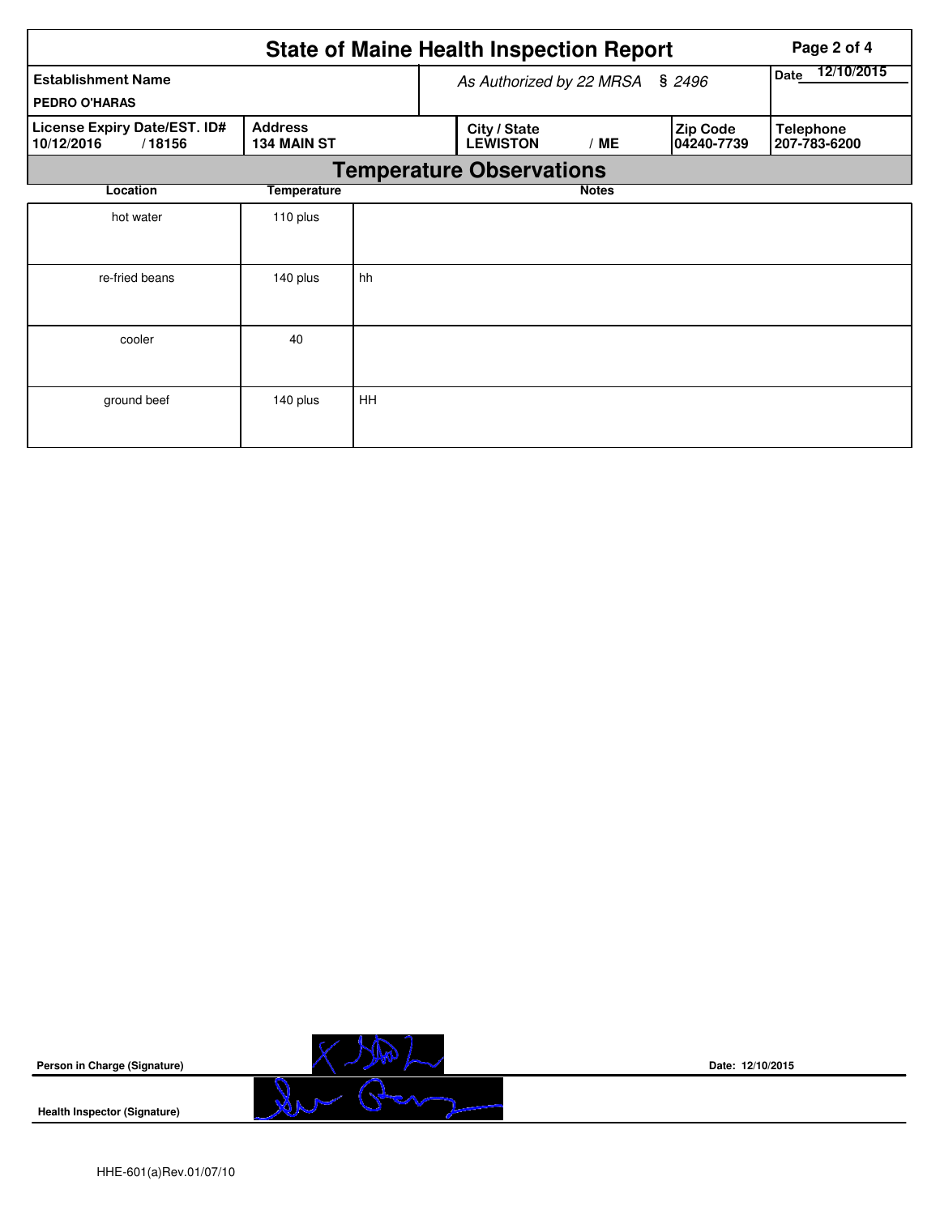|                                                      |                                      |                    | <b>State of Maine Health Inspection Report</b> | Page 2 of 4  |                                |                                  |
|------------------------------------------------------|--------------------------------------|--------------------|------------------------------------------------|--------------|--------------------------------|----------------------------------|
| <b>Establishment Name</b><br><b>PEDRO O'HARAS</b>    | As Authorized by 22 MRSA             | 12/10/2015<br>Date |                                                |              |                                |                                  |
| License Expiry Date/EST. ID#<br>10/12/2016<br>/18156 | <b>Address</b><br><b>134 MAIN ST</b> |                    | City / State<br><b>LEWISTON</b>                | /ME          | <b>Zip Code</b><br> 04240-7739 | <b>Telephone</b><br>207-783-6200 |
|                                                      |                                      |                    | <b>Temperature Observations</b>                |              |                                |                                  |
| Location                                             | Temperature                          |                    |                                                | <b>Notes</b> |                                |                                  |
| hot water                                            | 110 plus                             |                    |                                                |              |                                |                                  |
| re-fried beans                                       | 140 plus                             | hh                 |                                                |              |                                |                                  |
| cooler                                               | 40                                   |                    |                                                |              |                                |                                  |
| ground beef                                          | 140 plus                             | HH                 |                                                |              |                                |                                  |



**Date: 12/10/2015**

**Health Inspector (Signature)**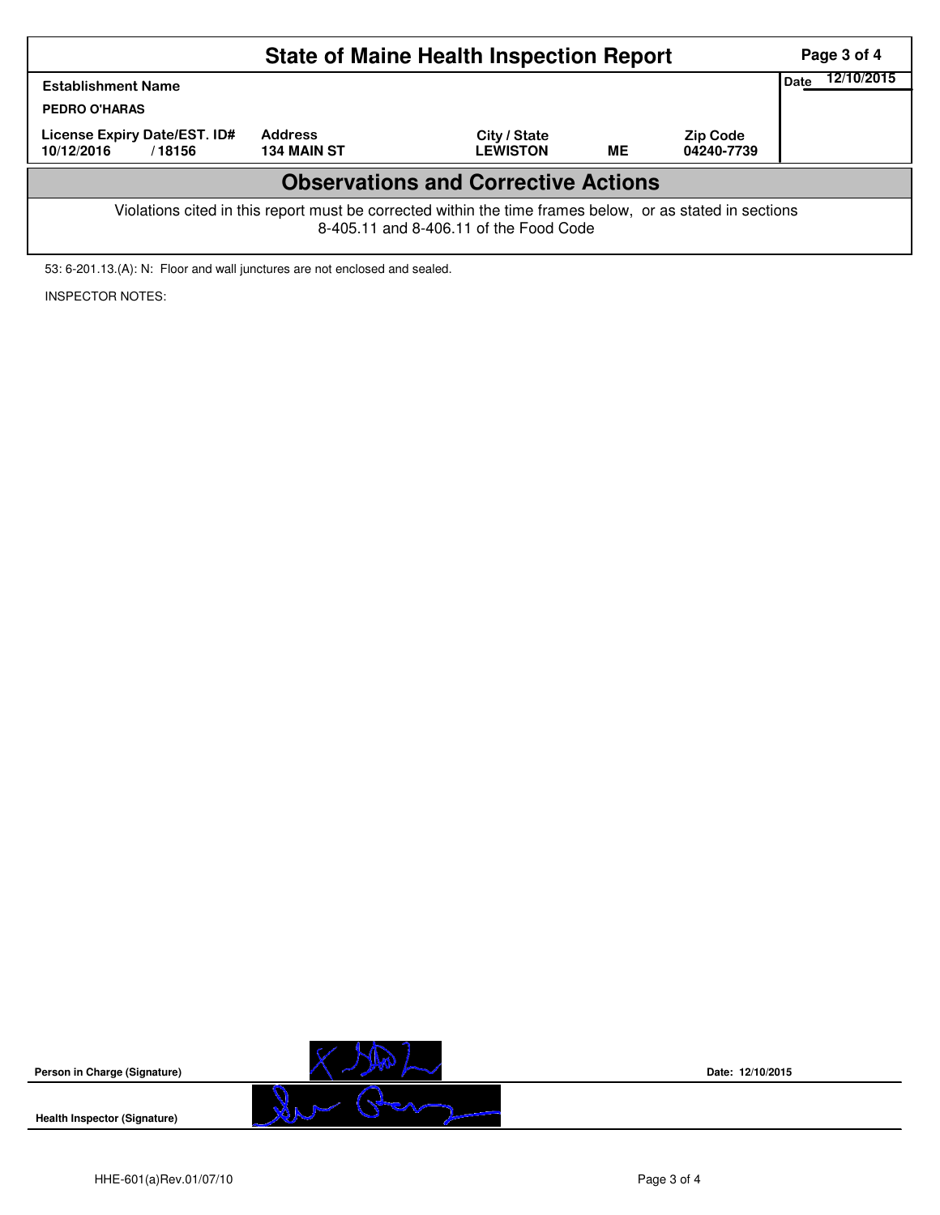| <b>State of Maine Health Inspection Report</b><br>Page 3 of 4                                                                                      |                                      |                                 |           |                               |  |  |  |  |  |
|----------------------------------------------------------------------------------------------------------------------------------------------------|--------------------------------------|---------------------------------|-----------|-------------------------------|--|--|--|--|--|
| <b>Establishment Name</b><br><b>PEDRO O'HARAS</b>                                                                                                  | 12/10/2015<br>Date                   |                                 |           |                               |  |  |  |  |  |
| License Expiry Date/EST. ID#<br>10/12/2016<br>/18156                                                                                               | <b>Address</b><br><b>134 MAIN ST</b> | City / State<br><b>LEWISTON</b> | <b>ME</b> | <b>Zip Code</b><br>04240-7739 |  |  |  |  |  |
| <b>Observations and Corrective Actions</b>                                                                                                         |                                      |                                 |           |                               |  |  |  |  |  |
| Violations cited in this report must be corrected within the time frames below, or as stated in sections<br>8-405.11 and 8-406.11 of the Food Code |                                      |                                 |           |                               |  |  |  |  |  |

53: 6-201.13.(A): N: Floor and wall junctures are not enclosed and sealed.

INSPECTOR NOTES:



**Date: 12/10/2015**